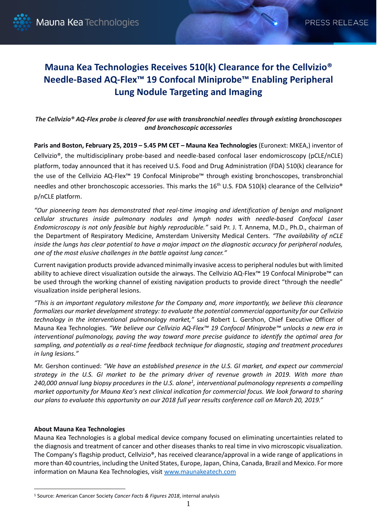## **Mauna Kea Technologies Receives 510(k) Clearance for the Cellvizio® Needle-Based AQ-Flex™ 19 Confocal Miniprobe™ Enabling Peripheral Lung Nodule Targeting and Imaging**

*The Cellvizio® AQ-Flex probe is cleared for use with transbronchial needles through existing bronchoscopes and bronchoscopic accessories*

**Paris and Boston, February 25, 2019 – 5.45 PM CET – Mauna Kea Technologies** (Euronext: MKEA,) inventor of Cellvizio®, the multidisciplinary probe-based and needle-based confocal laser endomicroscopy (pCLE/nCLE) platform, today announced that it has received U.S. Food and Drug Administration (FDA) 510(k) clearance for the use of the Cellvizio AQ-Flex™ 19 Confocal Miniprobe™ through existing bronchoscopes, transbronchial needles and other bronchoscopic accessories. This marks the 16<sup>th</sup> U.S. FDA 510(k) clearance of the Cellvizio<sup>®</sup> p/nCLE platform.

*"Our pioneering team has demonstrated that real-time imaging and identification of benign and malignant cellular structures inside pulmonary nodules and lymph nodes with needle-based Confocal Laser Endomicroscopy is not only feasible but highly reproducible."* said Pr. J. T. Annema, M.D., Ph.D., chairman of the Department of Respiratory Medicine, Amsterdam University Medical Centers. *"The availability of nCLE inside the lungs has clear potential to have a major impact on the diagnostic accuracy for peripheral nodules, one of the most elusive challenges in the battle against lung cancer."*

Current navigation products provide advanced minimally invasive access to peripheral nodules but with limited ability to achieve direct visualization outside the airways. The Cellvizio AQ-Flex™ 19 Confocal Miniprobe™ can be used through the working channel of existing navigation products to provide direct "through the needle" visualization inside peripheral lesions.

*"This is an important regulatory milestone for the Company and, more importantly, we believe this clearance formalizes our market development strategy: to evaluate the potential commercial opportunity for our Cellvizio technology in the interventional pulmonology market,"* said Robert L. Gershon, Chief Executive Officer of Mauna Kea Technologies. *"We believe our Cellvizio AQ-Flex™ 19 Confocal Miniprobe™ unlocks a new era in interventional pulmonology, paving the way toward more precise guidance to identify the optimal area for sampling, and potentially as a real-time feedback technique for diagnostic, staging and treatment procedures in lung lesions."*

Mr. Gershon continued: *"We have an established presence in the U.S. GI market, and expect our commercial strategy in the U.S. GI market to be the primary driver of revenue growth in 2019. With more than*  240,000 annual lung biopsy procedures in the U.S. alone<sup>1</sup>, interventional pulmonology represents a compelling *market opportunity for Mauna Kea's next clinical indication for commercial focus. We look forward to sharing our plans to evaluate this opportunity on our 2018 full year results conference call on March 20, 2019."*

## **About Mauna Kea Technologies**

 $\overline{a}$ 

Mauna Kea Technologies is a global medical device company focused on eliminating uncertainties related to the diagnosis and treatment of cancer and other diseases thanks to real time in vivo microscopic visualization. The Company's flagship product, Cellvizio®, has received clearance/approval in a wide range of applications in more than 40 countries, including the United States, Europe, Japan, China, Canada, Brazil and Mexico. For more information on Mauna Kea Technologies, visit [www.maunakeatech.com](http://www.maunakeatech.fr/)

<sup>1</sup> Source: American Cancer Society *Cancer Facts & Figures 2018*, internal analysis